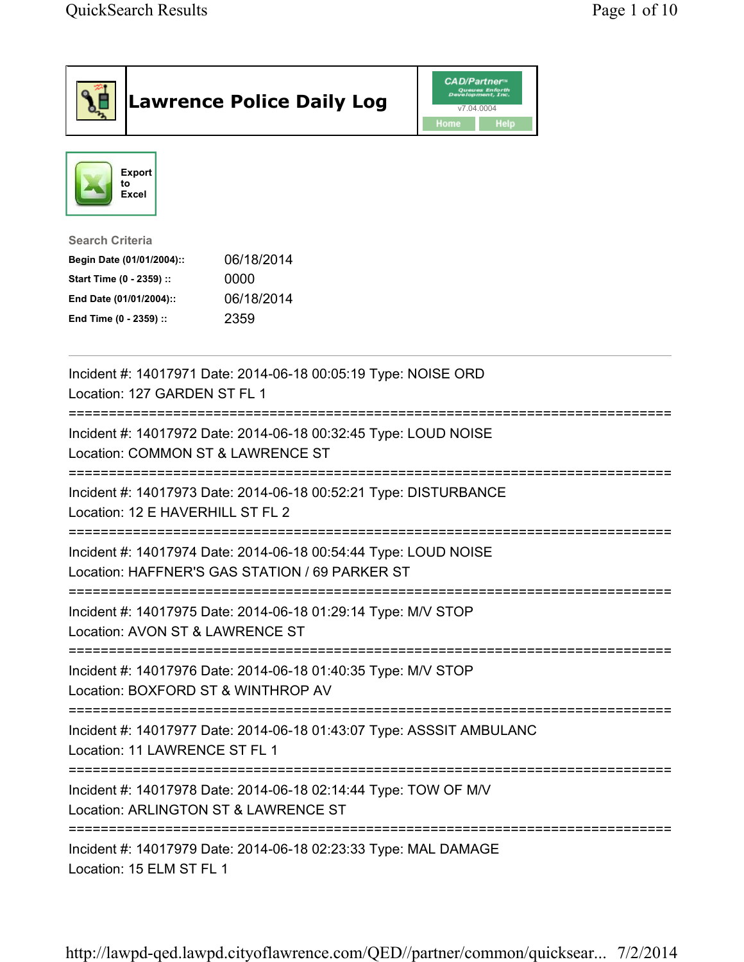| <b>Lawrence Police Daily Log</b>                                                                                                                                                 | <b>CAD/Partner</b> "<br>Queues Enforth<br>Development, Inc.<br>v7.04.0004<br>Home<br>Help |
|----------------------------------------------------------------------------------------------------------------------------------------------------------------------------------|-------------------------------------------------------------------------------------------|
| <b>Export</b><br>to<br><b>Excel</b>                                                                                                                                              |                                                                                           |
| <b>Search Criteria</b><br>06/18/2014<br>Begin Date (01/01/2004)::<br>Start Time (0 - 2359) ::<br>0000<br>06/18/2014<br>End Date (01/01/2004)::<br>2359<br>End Time (0 - 2359) :: |                                                                                           |
| Incident #: 14017971 Date: 2014-06-18 00:05:19 Type: NOISE ORD<br>Location: 127 GARDEN ST FL 1                                                                                   |                                                                                           |
| Incident #: 14017972 Date: 2014-06-18 00:32:45 Type: LOUD NOISE<br>Location: COMMON ST & LAWRENCE ST                                                                             |                                                                                           |
| Incident #: 14017973 Date: 2014-06-18 00:52:21 Type: DISTURBANCE<br>Location: 12 E HAVERHILL ST FL 2                                                                             |                                                                                           |
| Incident #: 14017974 Date: 2014-06-18 00:54:44 Type: LOUD NOISE<br>Location: HAFFNER'S GAS STATION / 69 PARKER ST                                                                |                                                                                           |
| Incident #: 14017975 Date: 2014-06-18 01:29:14 Type: M/V STOP<br>Location: AVON ST & LAWRENCE ST                                                                                 |                                                                                           |
| Incident #: 14017976 Date: 2014-06-18 01:40:35 Type: M/V STOP<br>Location: BOXFORD ST & WINTHROP AV                                                                              |                                                                                           |
| ===============================<br>Incident #: 14017977 Date: 2014-06-18 01:43:07 Type: ASSSIT AMBULANC<br>Location: 11 LAWRENCE ST FL 1                                         |                                                                                           |
| Incident #: 14017978 Date: 2014-06-18 02:14:44 Type: TOW OF M/V<br>Location: ARLINGTON ST & LAWRENCE ST                                                                          |                                                                                           |
| ===========================<br>Incident #: 14017979 Date: 2014-06-18 02:23:33 Type: MAL DAMAGE<br>Location: 15 ELM ST FL 1                                                       |                                                                                           |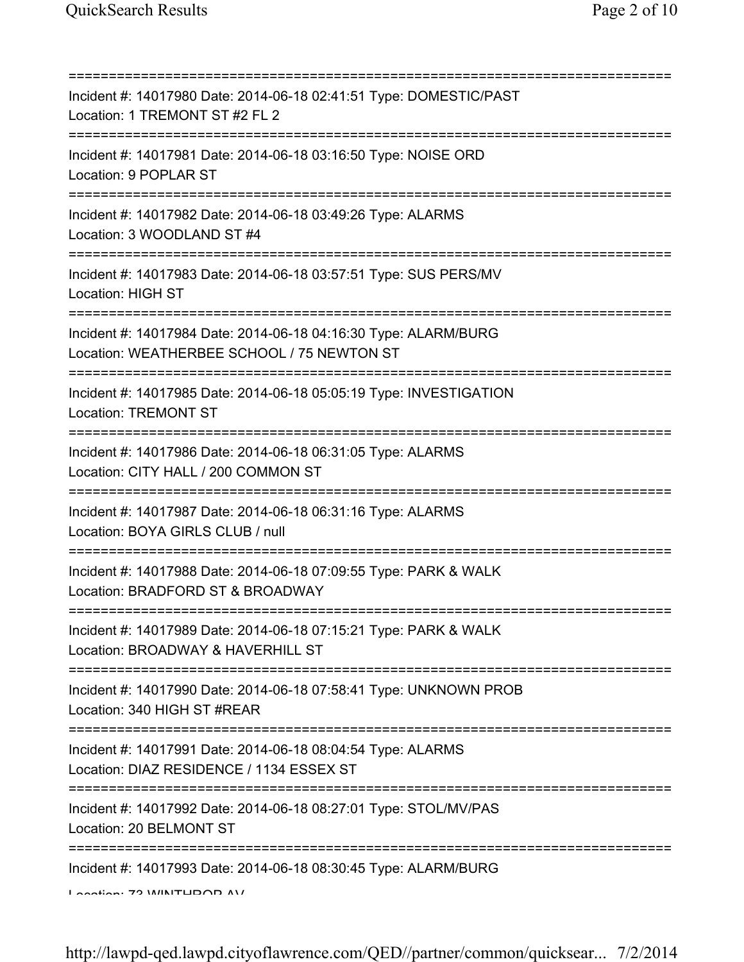| Incident #: 14017980 Date: 2014-06-18 02:41:51 Type: DOMESTIC/PAST<br>Location: 1 TREMONT ST #2 FL 2                     |
|--------------------------------------------------------------------------------------------------------------------------|
| Incident #: 14017981 Date: 2014-06-18 03:16:50 Type: NOISE ORD<br>Location: 9 POPLAR ST                                  |
| Incident #: 14017982 Date: 2014-06-18 03:49:26 Type: ALARMS<br>Location: 3 WOODLAND ST #4                                |
| Incident #: 14017983 Date: 2014-06-18 03:57:51 Type: SUS PERS/MV<br><b>Location: HIGH ST</b>                             |
| Incident #: 14017984 Date: 2014-06-18 04:16:30 Type: ALARM/BURG<br>Location: WEATHERBEE SCHOOL / 75 NEWTON ST            |
| Incident #: 14017985 Date: 2014-06-18 05:05:19 Type: INVESTIGATION<br><b>Location: TREMONT ST</b>                        |
| Incident #: 14017986 Date: 2014-06-18 06:31:05 Type: ALARMS<br>Location: CITY HALL / 200 COMMON ST                       |
| =====================<br>Incident #: 14017987 Date: 2014-06-18 06:31:16 Type: ALARMS<br>Location: BOYA GIRLS CLUB / null |
| Incident #: 14017988 Date: 2014-06-18 07:09:55 Type: PARK & WALK<br>Location: BRADFORD ST & BROADWAY                     |
| Incident #: 14017989 Date: 2014-06-18 07:15:21 Type: PARK & WALK<br>Location: BROADWAY & HAVERHILL ST                    |
| Incident #: 14017990 Date: 2014-06-18 07:58:41 Type: UNKNOWN PROB<br>Location: 340 HIGH ST #REAR                         |
| Incident #: 14017991 Date: 2014-06-18 08:04:54 Type: ALARMS<br>Location: DIAZ RESIDENCE / 1134 ESSEX ST                  |
| Incident #: 14017992 Date: 2014-06-18 08:27:01 Type: STOL/MV/PAS<br>Location: 20 BELMONT ST                              |
| Incident #: 14017993 Date: 2014-06-18 08:30:45 Type: ALARM/BURG<br>I Anation. 79 IMINITLIDOD AV                          |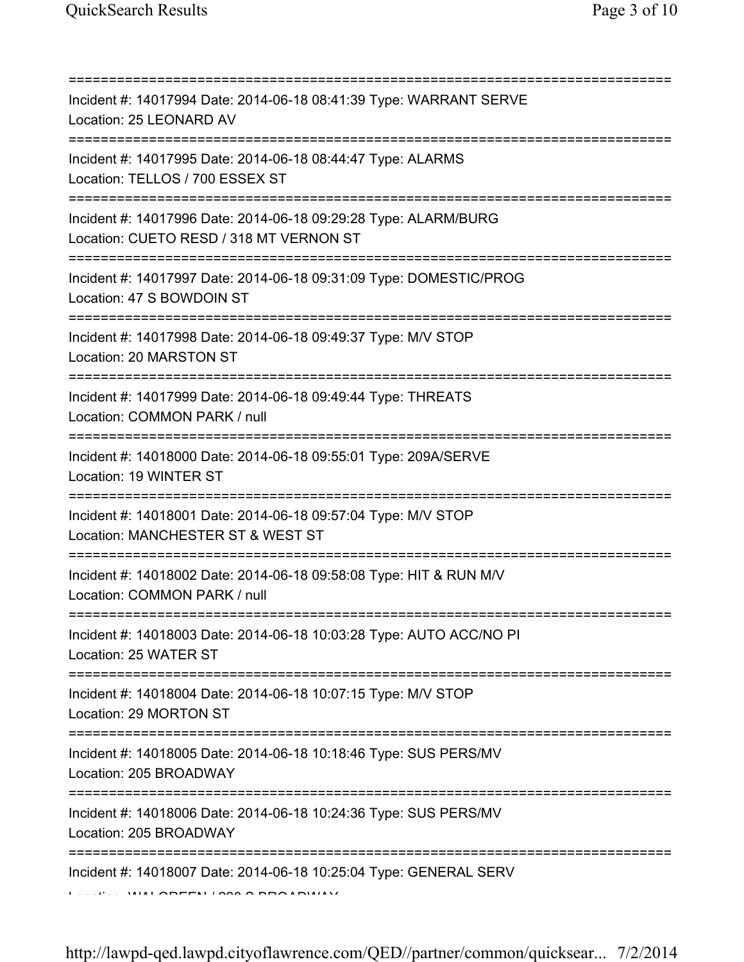| Incident #: 14017994 Date: 2014-06-18 08:41:39 Type: WARRANT SERVE<br>Location: 25 LEONARD AV<br>===================================== |
|----------------------------------------------------------------------------------------------------------------------------------------|
| Incident #: 14017995 Date: 2014-06-18 08:44:47 Type: ALARMS<br>Location: TELLOS / 700 ESSEX ST<br>===========================          |
| Incident #: 14017996 Date: 2014-06-18 09:29:28 Type: ALARM/BURG<br>Location: CUETO RESD / 318 MT VERNON ST                             |
| Incident #: 14017997 Date: 2014-06-18 09:31:09 Type: DOMESTIC/PROG<br>Location: 47 S BOWDOIN ST                                        |
| Incident #: 14017998 Date: 2014-06-18 09:49:37 Type: M/V STOP<br>Location: 20 MARSTON ST                                               |
| Incident #: 14017999 Date: 2014-06-18 09:49:44 Type: THREATS<br>Location: COMMON PARK / null                                           |
| Incident #: 14018000 Date: 2014-06-18 09:55:01 Type: 209A/SERVE<br>Location: 19 WINTER ST                                              |
| Incident #: 14018001 Date: 2014-06-18 09:57:04 Type: M/V STOP<br>Location: MANCHESTER ST & WEST ST                                     |
| Incident #: 14018002 Date: 2014-06-18 09:58:08 Type: HIT & RUN M/V<br>Location: COMMON PARK / null                                     |
| Incident #: 14018003 Date: 2014-06-18 10:03:28 Type: AUTO ACC/NO PI<br>Location: 25 WATER ST                                           |
| Incident #: 14018004 Date: 2014-06-18 10:07:15 Type: M/V STOP<br>Location: 29 MORTON ST                                                |
| Incident #: 14018005 Date: 2014-06-18 10:18:46 Type: SUS PERS/MV<br>Location: 205 BROADWAY                                             |
| Incident #: 14018006 Date: 2014-06-18 10:24:36 Type: SUS PERS/MV<br>Location: 205 BROADWAY                                             |
| Incident #: 14018007 Date: 2014-06-18 10:25:04 Type: GENERAL SERV                                                                      |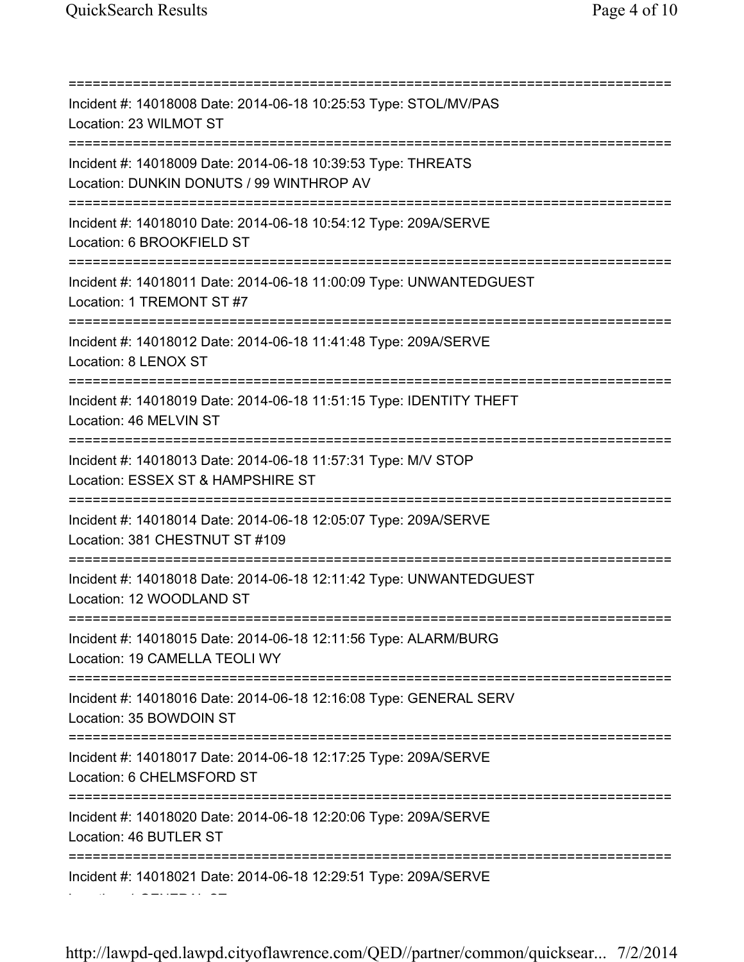=========================================================================== Incident #: 14018008 Date: 2014-06-18 10:25:53 Type: STOL/MV/PAS Location: 23 WILMOT ST =========================================================================== Incident #: 14018009 Date: 2014-06-18 10:39:53 Type: THREATS Location: DUNKIN DONUTS / 99 WINTHROP AV =========================================================================== Incident #: 14018010 Date: 2014-06-18 10:54:12 Type: 209A/SERVE Location: 6 BROOKFIELD ST =========================================================================== Incident #: 14018011 Date: 2014-06-18 11:00:09 Type: UNWANTEDGUEST Location: 1 TREMONT ST #7 =========================================================================== Incident #: 14018012 Date: 2014-06-18 11:41:48 Type: 209A/SERVE Location: 8 LENOX ST =========================================================================== Incident #: 14018019 Date: 2014-06-18 11:51:15 Type: IDENTITY THEFT Location: 46 MELVIN ST =========================================================================== Incident #: 14018013 Date: 2014-06-18 11:57:31 Type: M/V STOP Location: ESSEX ST & HAMPSHIRE ST =========================================================================== Incident #: 14018014 Date: 2014-06-18 12:05:07 Type: 209A/SERVE Location: 381 CHESTNUT ST #109 =========================================================================== Incident #: 14018018 Date: 2014-06-18 12:11:42 Type: UNWANTEDGUEST Location: 12 WOODLAND ST =========================================================================== Incident #: 14018015 Date: 2014-06-18 12:11:56 Type: ALARM/BURG Location: 19 CAMELLA TEOLI WY =========================================================================== Incident #: 14018016 Date: 2014-06-18 12:16:08 Type: GENERAL SERV Location: 35 BOWDOIN ST =========================================================================== Incident #: 14018017 Date: 2014-06-18 12:17:25 Type: 209A/SERVE Location: 6 CHELMSFORD ST =========================================================================== Incident #: 14018020 Date: 2014-06-18 12:20:06 Type: 209A/SERVE Location: 46 BUTLER ST =========================================================================== Incident #: 14018021 Date: 2014-06-18 12:29:51 Type: 209A/SERVE Location: 1 GENERAL ST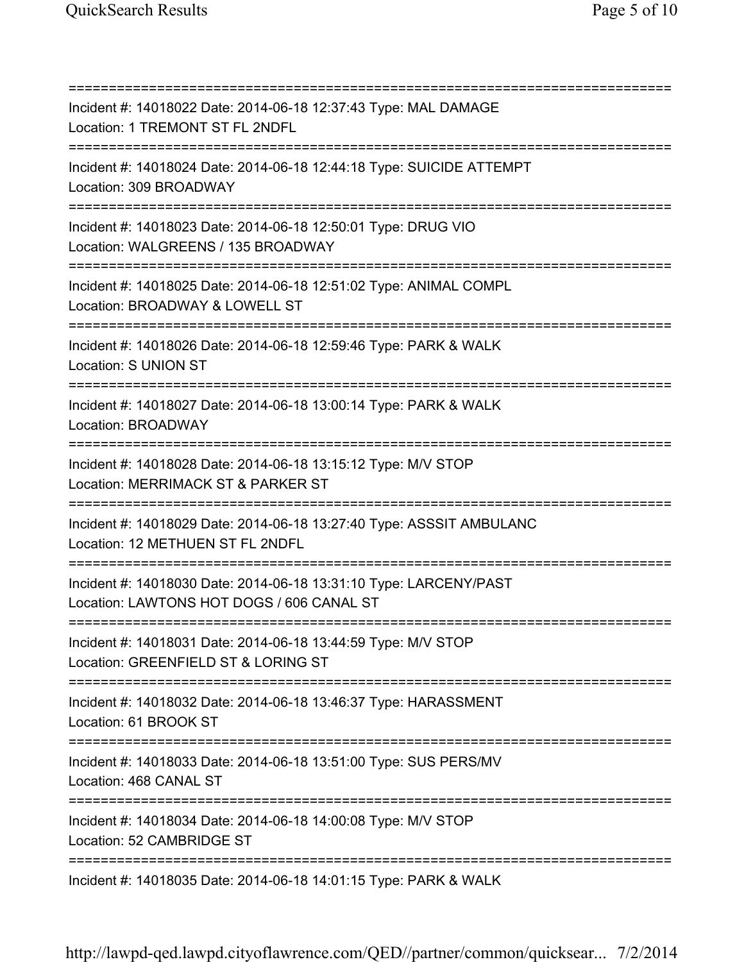=========================================================================== Incident #: 14018022 Date: 2014-06-18 12:37:43 Type: MAL DAMAGE Location: 1 TREMONT ST FL 2NDFL =========================================================================== Incident #: 14018024 Date: 2014-06-18 12:44:18 Type: SUICIDE ATTEMPT Location: 309 BROADWAY =========================================================================== Incident #: 14018023 Date: 2014-06-18 12:50:01 Type: DRUG VIO Location: WALGREENS / 135 BROADWAY =========================================================================== Incident #: 14018025 Date: 2014-06-18 12:51:02 Type: ANIMAL COMPL Location: BROADWAY & LOWELL ST =========================================================================== Incident #: 14018026 Date: 2014-06-18 12:59:46 Type: PARK & WALK Location: S UNION ST =========================================================================== Incident #: 14018027 Date: 2014-06-18 13:00:14 Type: PARK & WALK Location: BROADWAY =========================================================================== Incident #: 14018028 Date: 2014-06-18 13:15:12 Type: M/V STOP Location: MERRIMACK ST & PARKER ST =========================================================================== Incident #: 14018029 Date: 2014-06-18 13:27:40 Type: ASSSIT AMBULANC Location: 12 METHUEN ST FL 2NDFL =========================================================================== Incident #: 14018030 Date: 2014-06-18 13:31:10 Type: LARCENY/PAST Location: LAWTONS HOT DOGS / 606 CANAL ST =========================================================================== Incident #: 14018031 Date: 2014-06-18 13:44:59 Type: M/V STOP Location: GREENFIELD ST & LORING ST =========================================================================== Incident #: 14018032 Date: 2014-06-18 13:46:37 Type: HARASSMENT Location: 61 BROOK ST =========================================================================== Incident #: 14018033 Date: 2014-06-18 13:51:00 Type: SUS PERS/MV Location: 468 CANAL ST =========================================================================== Incident #: 14018034 Date: 2014-06-18 14:00:08 Type: M/V STOP Location: 52 CAMBRIDGE ST =========================================================================== Incident #: 14018035 Date: 2014-06-18 14:01:15 Type: PARK & WALK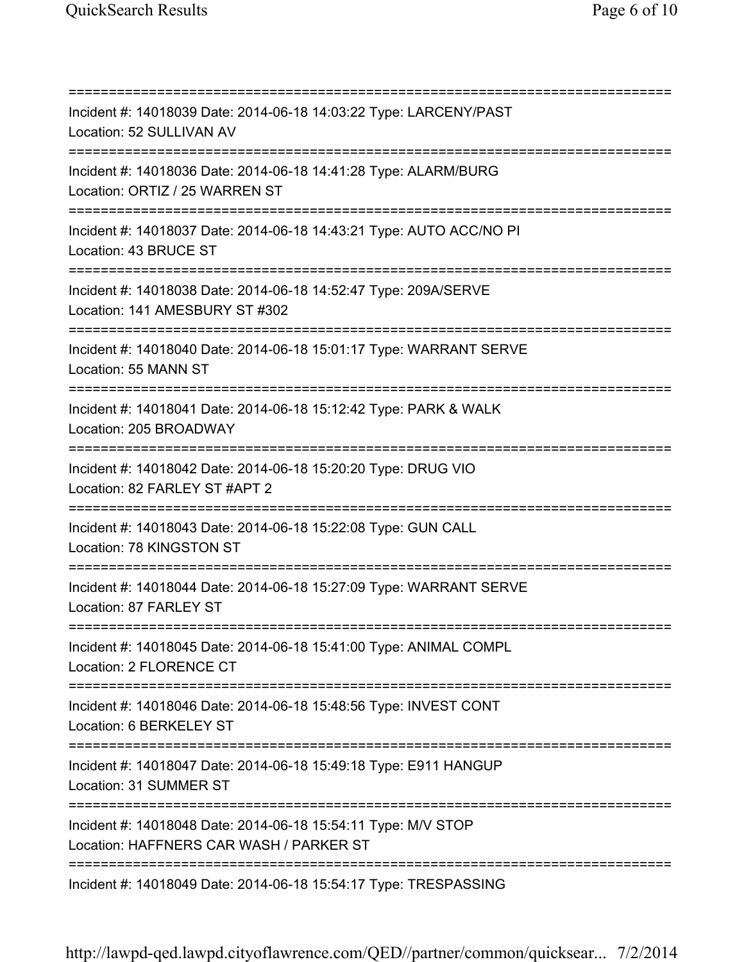=========================================================================== Incident #: 14018039 Date: 2014-06-18 14:03:22 Type: LARCENY/PAST Location: 52 SULLIVAN AV =========================================================================== Incident #: 14018036 Date: 2014-06-18 14:41:28 Type: ALARM/BURG Location: ORTIZ / 25 WARREN ST =========================================================================== Incident #: 14018037 Date: 2014-06-18 14:43:21 Type: AUTO ACC/NO PI Location: 43 BRUCE ST =========================================================================== Incident #: 14018038 Date: 2014-06-18 14:52:47 Type: 209A/SERVE Location: 141 AMESBURY ST #302 =========================================================================== Incident #: 14018040 Date: 2014-06-18 15:01:17 Type: WARRANT SERVE Location: 55 MANN ST =========================================================================== Incident #: 14018041 Date: 2014-06-18 15:12:42 Type: PARK & WALK Location: 205 BROADWAY =========================================================================== Incident #: 14018042 Date: 2014-06-18 15:20:20 Type: DRUG VIO Location: 82 FARLEY ST #APT 2 =========================================================================== Incident #: 14018043 Date: 2014-06-18 15:22:08 Type: GUN CALL Location: 78 KINGSTON ST =========================================================================== Incident #: 14018044 Date: 2014-06-18 15:27:09 Type: WARRANT SERVE Location: 87 FARLEY ST =========================================================================== Incident #: 14018045 Date: 2014-06-18 15:41:00 Type: ANIMAL COMPL Location: 2 FLORENCE CT =========================================================================== Incident #: 14018046 Date: 2014-06-18 15:48:56 Type: INVEST CONT Location: 6 BERKELEY ST =========================================================================== Incident #: 14018047 Date: 2014-06-18 15:49:18 Type: E911 HANGUP Location: 31 SUMMER ST =========================================================================== Incident #: 14018048 Date: 2014-06-18 15:54:11 Type: M/V STOP Location: HAFFNERS CAR WASH / PARKER ST =========================================================================== Incident #: 14018049 Date: 2014-06-18 15:54:17 Type: TRESPASSING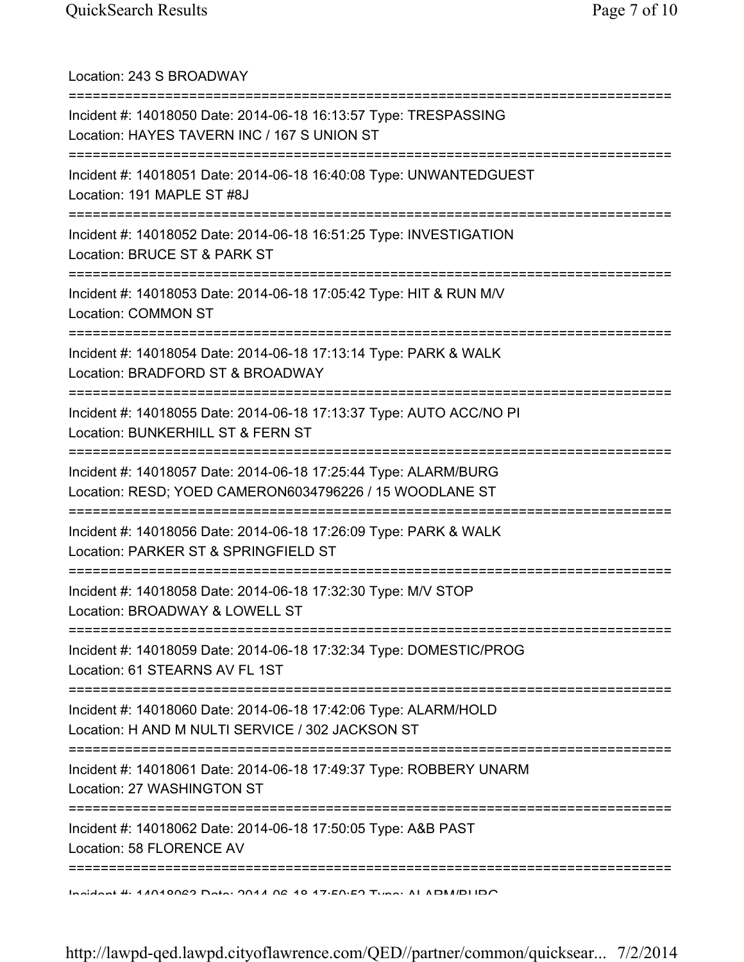Location: 243 S BROADWAY =========================================================================== Incident #: 14018050 Date: 2014-06-18 16:13:57 Type: TRESPASSING Location: HAYES TAVERN INC / 167 S UNION ST =========================================================================== Incident #: 14018051 Date: 2014-06-18 16:40:08 Type: UNWANTEDGUEST Location: 191 MAPLE ST #8J =========================================================================== Incident #: 14018052 Date: 2014-06-18 16:51:25 Type: INVESTIGATION Location: BRUCE ST & PARK ST =========================================================================== Incident #: 14018053 Date: 2014-06-18 17:05:42 Type: HIT & RUN M/V Location: COMMON ST =========================================================================== Incident #: 14018054 Date: 2014-06-18 17:13:14 Type: PARK & WALK Location: BRADFORD ST & BROADWAY =========================================================================== Incident #: 14018055 Date: 2014-06-18 17:13:37 Type: AUTO ACC/NO PI Location: BUNKERHILL ST & FERN ST =========================================================================== Incident #: 14018057 Date: 2014-06-18 17:25:44 Type: ALARM/BURG Location: RESD; YOED CAMERON6034796226 / 15 WOODLANE ST =========================================================================== Incident #: 14018056 Date: 2014-06-18 17:26:09 Type: PARK & WALK Location: PARKER ST & SPRINGFIELD ST =========================================================================== Incident #: 14018058 Date: 2014-06-18 17:32:30 Type: M/V STOP Location: BROADWAY & LOWELL ST =========================================================================== Incident #: 14018059 Date: 2014-06-18 17:32:34 Type: DOMESTIC/PROG Location: 61 STEARNS AV FL 1ST =========================================================================== Incident #: 14018060 Date: 2014-06-18 17:42:06 Type: ALARM/HOLD Location: H AND M NULTI SERVICE / 302 JACKSON ST =========================================================================== Incident #: 14018061 Date: 2014-06-18 17:49:37 Type: ROBBERY UNARM Location: 27 WASHINGTON ST =========================================================================== Incident #: 14018062 Date: 2014-06-18 17:50:05 Type: A&B PAST Location: 58 FLORENCE AV =========================================================================== Incident #: 14018063 Date: 2014 06 18 17:50:52 Type: ALARM/BURG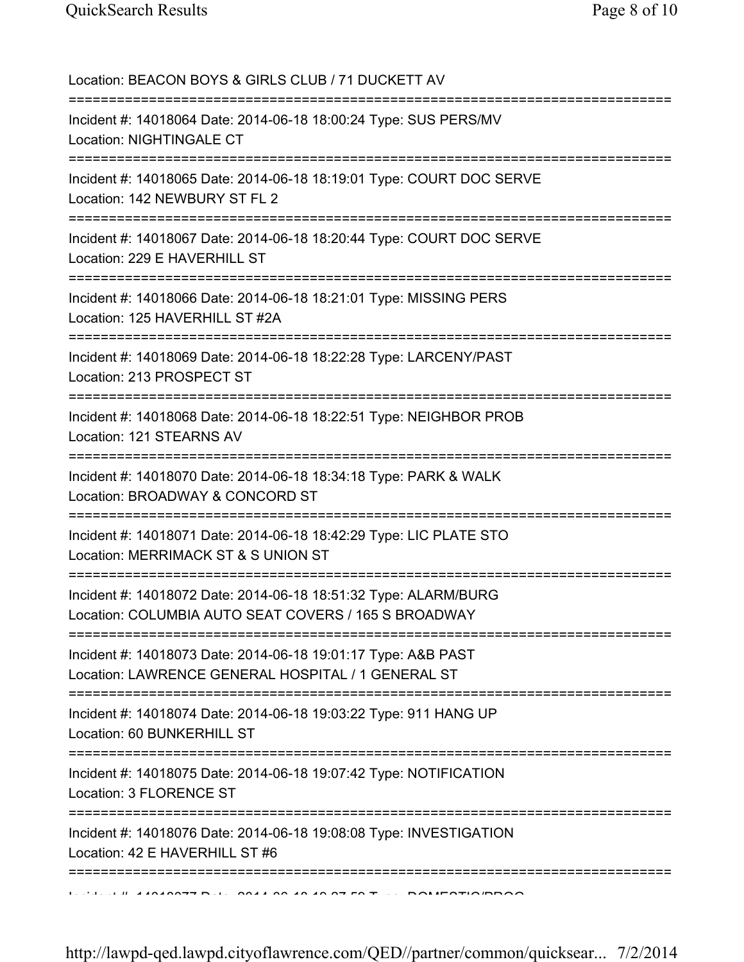| Location: BEACON BOYS & GIRLS CLUB / 71 DUCKETT AV<br>=====================================                             |
|-------------------------------------------------------------------------------------------------------------------------|
| Incident #: 14018064 Date: 2014-06-18 18:00:24 Type: SUS PERS/MV<br>Location: NIGHTINGALE CT                            |
| Incident #: 14018065 Date: 2014-06-18 18:19:01 Type: COURT DOC SERVE<br>Location: 142 NEWBURY ST FL 2                   |
| Incident #: 14018067 Date: 2014-06-18 18:20:44 Type: COURT DOC SERVE<br>Location: 229 E HAVERHILL ST                    |
| Incident #: 14018066 Date: 2014-06-18 18:21:01 Type: MISSING PERS<br>Location: 125 HAVERHILL ST #2A                     |
| Incident #: 14018069 Date: 2014-06-18 18:22:28 Type: LARCENY/PAST<br>Location: 213 PROSPECT ST                          |
| Incident #: 14018068 Date: 2014-06-18 18:22:51 Type: NEIGHBOR PROB<br>Location: 121 STEARNS AV                          |
| Incident #: 14018070 Date: 2014-06-18 18:34:18 Type: PARK & WALK<br>Location: BROADWAY & CONCORD ST                     |
| Incident #: 14018071 Date: 2014-06-18 18:42:29 Type: LIC PLATE STO<br>Location: MERRIMACK ST & S UNION ST               |
| Incident #: 14018072 Date: 2014-06-18 18:51:32 Type: ALARM/BURG<br>Location: COLUMBIA AUTO SEAT COVERS / 165 S BROADWAY |
| Incident #: 14018073 Date: 2014-06-18 19:01:17 Type: A&B PAST<br>Location: LAWRENCE GENERAL HOSPITAL / 1 GENERAL ST     |
| ===============<br>Incident #: 14018074 Date: 2014-06-18 19:03:22 Type: 911 HANG UP<br>Location: 60 BUNKERHILL ST       |
| Incident #: 14018075 Date: 2014-06-18 19:07:42 Type: NOTIFICATION<br>Location: 3 FLORENCE ST                            |
| Incident #: 14018076 Date: 2014-06-18 19:08:08 Type: INVESTIGATION<br>Location: 42 E HAVERHILL ST #6                    |
| $1.11.11$ $1.10.1010777$ D.1. 00.11.00.10.10.07 FO.T.  DOMEOTIOUDD                                                      |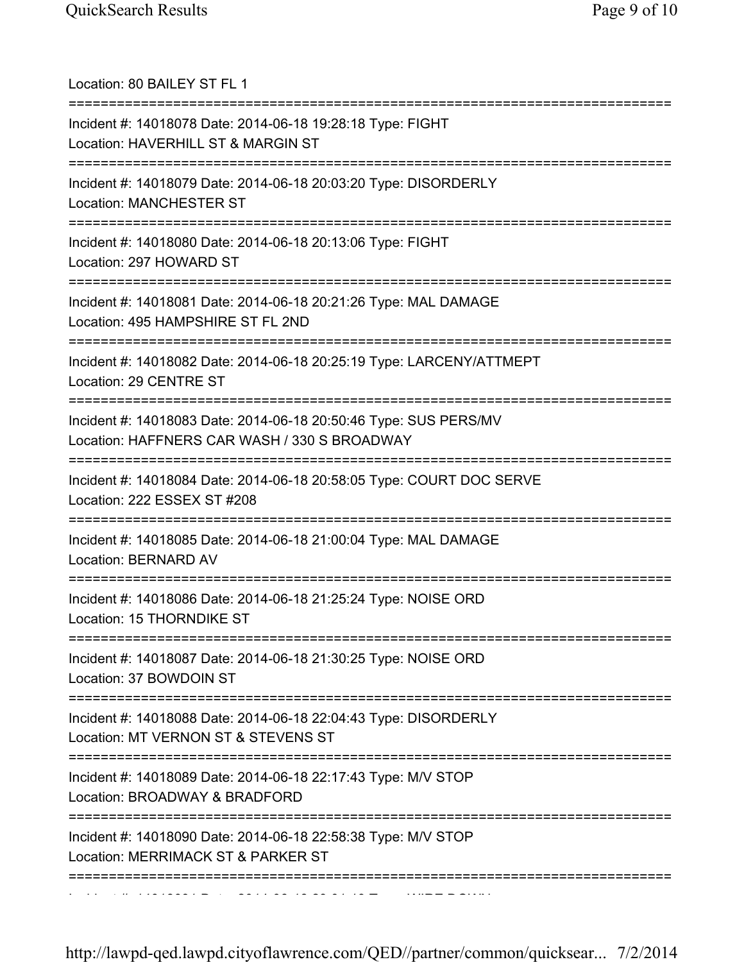| Location: 80 BAILEY ST FL 1                                                                                                       |
|-----------------------------------------------------------------------------------------------------------------------------------|
| Incident #: 14018078 Date: 2014-06-18 19:28:18 Type: FIGHT<br>Location: HAVERHILL ST & MARGIN ST                                  |
| Incident #: 14018079 Date: 2014-06-18 20:03:20 Type: DISORDERLY<br><b>Location: MANCHESTER ST</b>                                 |
| Incident #: 14018080 Date: 2014-06-18 20:13:06 Type: FIGHT<br>Location: 297 HOWARD ST                                             |
| Incident #: 14018081 Date: 2014-06-18 20:21:26 Type: MAL DAMAGE<br>Location: 495 HAMPSHIRE ST FL 2ND                              |
| Incident #: 14018082 Date: 2014-06-18 20:25:19 Type: LARCENY/ATTMEPT<br>Location: 29 CENTRE ST                                    |
| Incident #: 14018083 Date: 2014-06-18 20:50:46 Type: SUS PERS/MV<br>Location: HAFFNERS CAR WASH / 330 S BROADWAY                  |
| Incident #: 14018084 Date: 2014-06-18 20:58:05 Type: COURT DOC SERVE<br>Location: 222 ESSEX ST #208                               |
| Incident #: 14018085 Date: 2014-06-18 21:00:04 Type: MAL DAMAGE<br>Location: BERNARD AV                                           |
| -----------------------<br>Incident #: 14018086 Date: 2014-06-18 21:25:24 Type: NOISE ORD<br>Location: 15 THORNDIKE ST            |
| Incident #: 14018087 Date: 2014-06-18 21:30:25 Type: NOISE ORD<br>Location: 37 BOWDOIN ST                                         |
| Incident #: 14018088 Date: 2014-06-18 22:04:43 Type: DISORDERLY<br>Location: MT VERNON ST & STEVENS ST                            |
| -------------------------------<br>Incident #: 14018089 Date: 2014-06-18 22:17:43 Type: M/V STOP<br>Location: BROADWAY & BRADFORD |
| Incident #: 14018090 Date: 2014-06-18 22:58:38 Type: M/V STOP<br>Location: MERRIMACK ST & PARKER ST                               |
|                                                                                                                                   |

Incident #: 14018091 Date: 2014 06 18 23:01:19 Type: WIRE DOWN